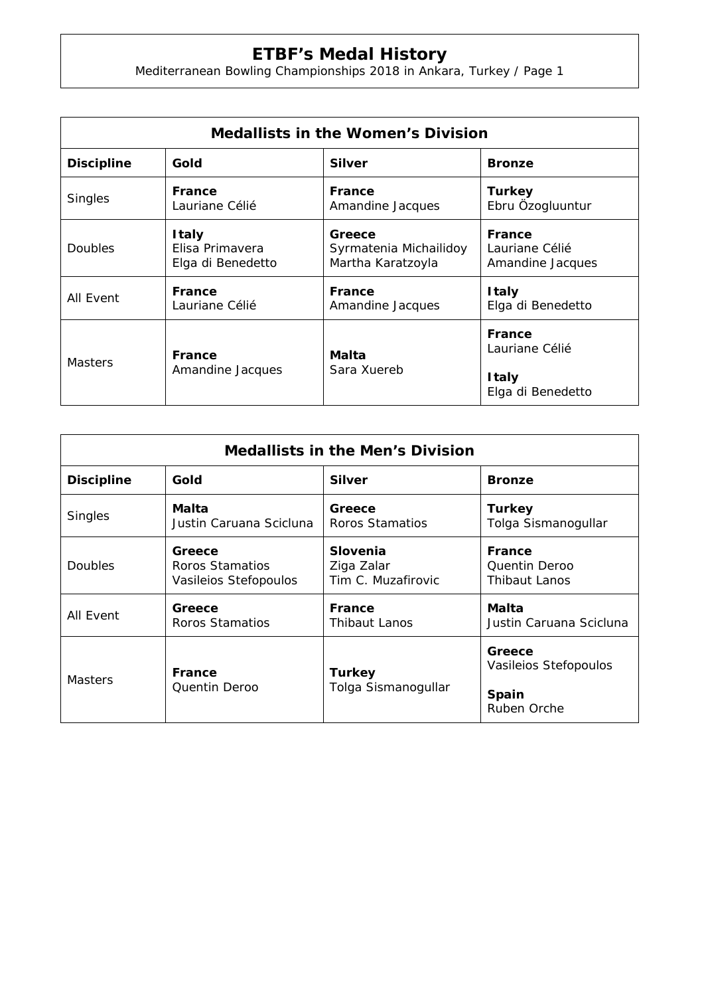## **ETBF's Medal History**

Mediterranean Bowling Championships 2018 in Ankara, Turkey / Page 1

| <b>Medallists in the Women's Division</b> |                            |                        |                                                                      |  |  |
|-------------------------------------------|----------------------------|------------------------|----------------------------------------------------------------------|--|--|
| <b>Discipline</b>                         | Gold                       | <b>Silver</b>          | <b>Bronze</b>                                                        |  |  |
| <b>Singles</b>                            | France                     | <b>France</b>          | <b>Turkey</b>                                                        |  |  |
|                                           | Lauriane Célié             | Amandine Jacques       | Ebru Özogluuntur                                                     |  |  |
| Doubles                                   | I taly                     | Greece                 | France                                                               |  |  |
|                                           | Elisa Primavera            | Syrmatenia Michailidoy | Lauriane Célié                                                       |  |  |
|                                           | Elga di Benedetto          | Martha Karatzoyla      | Amandine Jacques                                                     |  |  |
| All Event                                 | France                     | <b>France</b>          | <b>Italy</b>                                                         |  |  |
|                                           | Lauriane Célié             | Amandine Jacques       | Elga di Benedetto                                                    |  |  |
| <b>Masters</b>                            | France<br>Amandine Jacques | Malta<br>Sara Xuereb   | <b>France</b><br>Lauriane Célié<br><b>Italy</b><br>Elga di Benedetto |  |  |

| <b>Medallists in the Men's Division</b> |                                                    |                                              |                                          |  |  |
|-----------------------------------------|----------------------------------------------------|----------------------------------------------|------------------------------------------|--|--|
| <b>Discipline</b>                       | Gold                                               | <b>Silver</b>                                | <b>Bronze</b>                            |  |  |
| <b>Singles</b>                          | Malta<br>Justin Caruana Scicluna                   | Greece<br>Roros Stamatios                    | <b>Turkey</b><br>Tolga Sismanogullar     |  |  |
| <b>Doubles</b>                          | Greece<br>Roros Stamatios<br>Vasileios Stefopoulos | Slovenia<br>Ziga Zalar<br>Tim C. Muzafirovic | France<br>Quentin Deroo<br>Thibaut Lanos |  |  |
| All Event                               | Greece<br>Roros Stamatios                          | <b>France</b><br><b>Thibaut Lanos</b>        | Malta<br>Justin Caruana Scicluna         |  |  |
| <b>Masters</b>                          | France<br>Quentin Deroo                            | <b>Turkey</b><br>Tolga Sismanogullar         | Greece<br>Vasileios Stefopoulos          |  |  |
|                                         |                                                    |                                              | <b>Spain</b><br>Ruben Orche              |  |  |